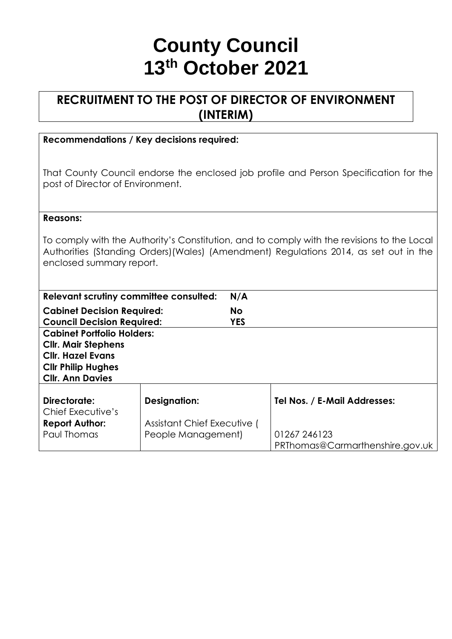# **County Council 13th October 2021**

# **RECRUITMENT TO THE POST OF DIRECTOR OF ENVIRONMENT (INTERIM)**

#### **Recommendations / Key decisions required:**

That County Council endorse the enclosed job profile and Person Specification for the post of Director of Environment.

#### **Reasons:**

To comply with the Authority's Constitution, and to comply with the revisions to the Local Authorities (Standing Orders)(Wales) (Amendment) Regulations 2014, as set out in the enclosed summary report.

| <b>Relevant scrutiny committee consulted:</b>                                                                                                       |                                                                          | N/A                     |                                                                                 |
|-----------------------------------------------------------------------------------------------------------------------------------------------------|--------------------------------------------------------------------------|-------------------------|---------------------------------------------------------------------------------|
| <b>Cabinet Decision Required:</b><br><b>Council Decision Required:</b>                                                                              |                                                                          | <b>No</b><br><b>YES</b> |                                                                                 |
| <b>Cabinet Portfolio Holders:</b><br><b>CIIr. Mair Stephens</b><br><b>Cllr. Hazel Evans</b><br><b>Cllr Philip Hughes</b><br><b>Cllr. Ann Davies</b> |                                                                          |                         |                                                                                 |
| Directorate:<br>Chief Executive's<br><b>Report Author:</b><br><b>Paul Thomas</b>                                                                    | <b>Designation:</b><br>Assistant Chief Executive (<br>People Management) |                         | Tel Nos. / E-Mail Addresses:<br>01267 246123<br>PRThomas@Carmarthenshire.gov.uk |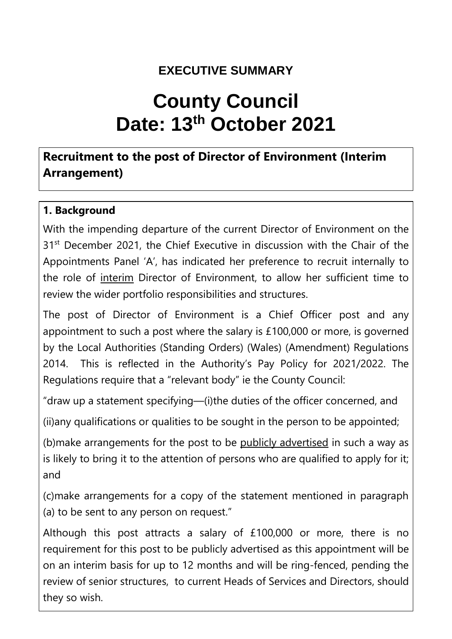# **EXECUTIVE SUMMARY**

# **County Council Date: 13th October 2021**

# **Recruitment to the post of Director of Environment (Interim Arrangement)**

### **1. Background**

With the impending departure of the current Director of Environment on the 31<sup>st</sup> December 2021, the Chief Executive in discussion with the Chair of the Appointments Panel 'A', has indicated her preference to recruit internally to the role of interim Director of Environment, to allow her sufficient time to review the wider portfolio responsibilities and structures.

The post of Director of Environment is a Chief Officer post and any appointment to such a post where the salary is £100,000 or more, is governed by the Local Authorities (Standing Orders) (Wales) (Amendment) Regulations 2014. This is reflected in the Authority's Pay Policy for 2021/2022. The Regulations require that a "relevant body" ie the County Council:

"draw up a statement specifying—(i)the duties of the officer concerned, and

(ii)any qualifications or qualities to be sought in the person to be appointed;

(b)make arrangements for the post to be publicly advertised in such a way as is likely to bring it to the attention of persons who are qualified to apply for it; and

(c)make arrangements for a copy of the statement mentioned in paragraph (a) to be sent to any person on request."

Although this post attracts a salary of £100,000 or more, there is no requirement for this post to be publicly advertised as this appointment will be on an interim basis for up to 12 months and will be ring-fenced, pending the review of senior structures, to current Heads of Services and Directors, should they so wish.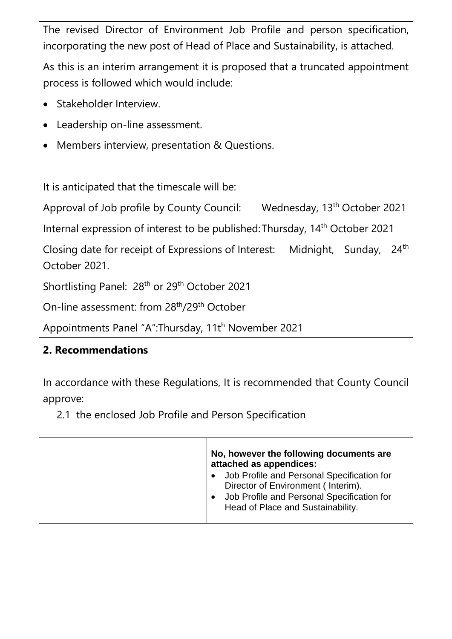The revised Director of Environment Job Profile and person specification, incorporating the new post of Head of Place and Sustainability, is attached.

As this is an interim arrangement it is proposed that a truncated appointment process is followed which would include:

- Stakeholder Interview.
- Leadership on-line assessment.
- Members interview, presentation & Questions.

It is anticipated that the timescale will be:

Approval of Job profile by County Council: Wednesday, 13<sup>th</sup> October 2021

Internal expression of interest to be published:Thursday, 14th October 2021

Closing date for receipt of Expressions of Interest: Midnight, Sunday, 24<sup>th</sup> October 2021.

Shortlisting Panel: 28<sup>th</sup> or 29<sup>th</sup> October 2021

On-line assessment: from 28<sup>th</sup>/29<sup>th</sup> October

Appointments Panel "A":Thursday, 11t <sup>h</sup> November 2021

### **2. Recommendations**

In accordance with these Regulations, It is recommended that County Council approve:

2.1 the enclosed Job Profile and Person Specification

|  | No, however the following documents are<br>attached as appendices:<br>Job Profile and Personal Specification for<br>Director of Environment (Interim).<br>Job Profile and Personal Specification for<br>Head of Place and Sustainability. |
|--|-------------------------------------------------------------------------------------------------------------------------------------------------------------------------------------------------------------------------------------------|
|--|-------------------------------------------------------------------------------------------------------------------------------------------------------------------------------------------------------------------------------------------|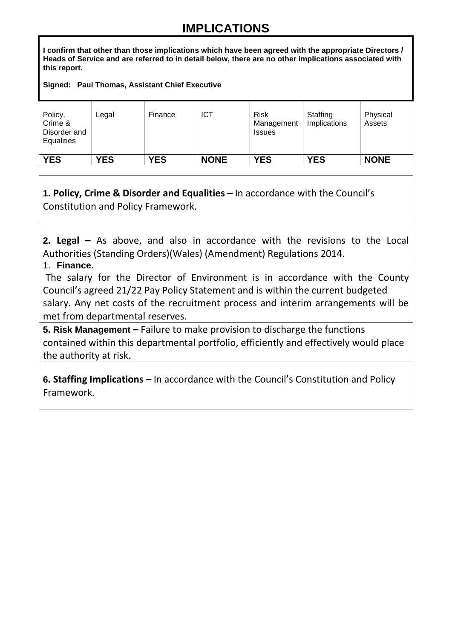## **IMPLICATIONS**

**I confirm that other than those implications which have been agreed with the appropriate Directors / Heads of Service and are referred to in detail below, there are no other implications associated with this report.**

**Signed: Paul Thomas, Assistant Chief Executive** 

| Policy,<br>Crime &<br>Disorder and<br>Equalities | Legal      | Finance    | <b>ICT</b>  | Risk<br>Management<br><b>Issues</b> | Staffing<br>Implications | Physical<br>Assets |
|--------------------------------------------------|------------|------------|-------------|-------------------------------------|--------------------------|--------------------|
| <b>YES</b>                                       | <b>YES</b> | <b>YES</b> | <b>NONE</b> | <b>YES</b>                          | <b>YES</b>               | <b>NONE</b>        |

**1. Policy, Crime & Disorder and Equalities –** In accordance with the Council's Constitution and Policy Framework.

**2. Legal –** As above, and also in accordance with the revisions to the Local Authorities (Standing Orders)(Wales) (Amendment) Regulations 2014.

1. **Finance**.

The salary for the Director of Environment is in accordance with the County Council's agreed 21/22 Pay Policy Statement and is within the current budgeted salary. Any net costs of the recruitment process and interim arrangements will be met from departmental reserves.

**5. Risk Management –** Failure to make provision to discharge the functions contained within this departmental portfolio, efficiently and effectively would place the authority at risk.

**6. Staffing Implications –** In accordance with the Council's Constitution and Policy Framework.